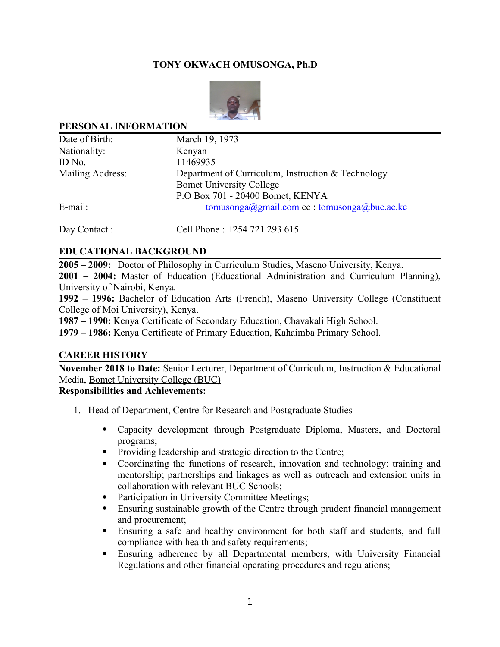## **TONY OKWACH OMUSONGA, Ph.D**



#### **PERSONAL INFORMATION**

| Date of Birth:   | March 19, 1973                                     |
|------------------|----------------------------------------------------|
| Nationality:     | Kenyan                                             |
| ID No.           | 11469935                                           |
| Mailing Address: | Department of Curriculum, Instruction & Technology |
|                  | <b>Bomet University College</b>                    |
|                  | P.O Box 701 - 20400 Bomet, KENYA                   |
| E-mail:          | tomusonga@gmail.com cc : tomusonga@buc.ac.ke       |
|                  |                                                    |

Day Contact : Cell Phone : +254 721 293 615

### **EDUCATIONAL BACKGROUND**

**2005 – 2009:** Doctor of Philosophy in Curriculum Studies, Maseno University, Kenya.

**2001 – 2004:** Master of Education (Educational Administration and Curriculum Planning), University of Nairobi, Kenya.

**1992 – 1996:** Bachelor of Education Arts (French), Maseno University College (Constituent College of Moi University), Kenya.

**1987 – 1990:** Kenya Certificate of Secondary Education, Chavakali High School.

**1979 – 1986:** Kenya Certificate of Primary Education, Kahaimba Primary School.

#### **CAREER HISTORY**

**November 2018 to Date:** Senior Lecturer, Department of Curriculum, Instruction & Educational Media, Bomet University College (BUC)

# **Responsibilities and Achievements:**

- 1. Head of Department, Centre for Research and Postgraduate Studies
	- Capacity development through Postgraduate Diploma, Masters, and Doctoral programs;
	- Providing leadership and strategic direction to the Centre;
	- Coordinating the functions of research, innovation and technology; training and mentorship; partnerships and linkages as well as outreach and extension units in collaboration with relevant BUC Schools;
	- Participation in University Committee Meetings;
	- Ensuring sustainable growth of the Centre through prudent financial management and procurement;
	- Ensuring a safe and healthy environment for both staff and students, and full compliance with health and safety requirements;
	- Ensuring adherence by all Departmental members, with University Financial Regulations and other financial operating procedures and regulations;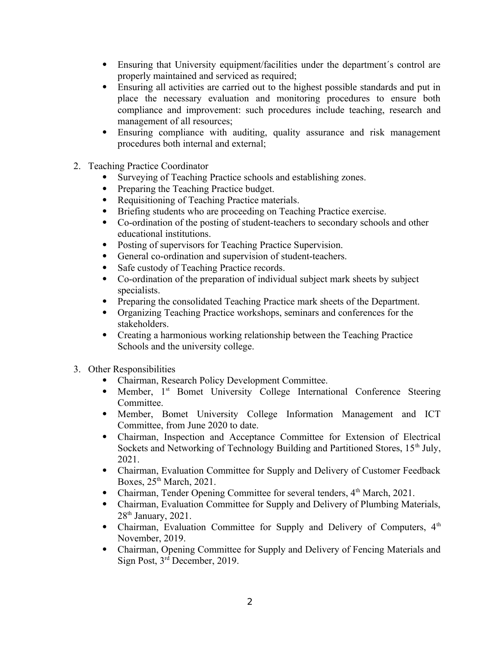- Ensuring that University equipment/facilities under the department´s control are properly maintained and serviced as required;
- Ensuring all activities are carried out to the highest possible standards and put in place the necessary evaluation and monitoring procedures to ensure both compliance and improvement: such procedures include teaching, research and management of all resources;
- Ensuring compliance with auditing, quality assurance and risk management procedures both internal and external;
- 2. Teaching Practice Coordinator
	- Surveying of Teaching Practice schools and establishing zones.
	- Preparing the Teaching Practice budget.
	- Requisitioning of Teaching Practice materials.
	- Briefing students who are proceeding on Teaching Practice exercise.
	- Co-ordination of the posting of student-teachers to secondary schools and other educational institutions.
	- Posting of supervisors for Teaching Practice Supervision.
	- General co-ordination and supervision of student-teachers.
	- Safe custody of Teaching Practice records.
	- Co-ordination of the preparation of individual subject mark sheets by subject specialists.
	- Preparing the consolidated Teaching Practice mark sheets of the Department.
	- Organizing Teaching Practice workshops, seminars and conferences for the stakeholders.
	- Creating a harmonious working relationship between the Teaching Practice Schools and the university college.
- 3. Other Responsibilities
	- Chairman, Research Policy Development Committee.
	- Member, 1<sup>st</sup> Bomet University College International Conference Steering Committee.
	- Member, Bomet University College Information Management and ICT Committee, from June 2020 to date.
	- Chairman, Inspection and Acceptance Committee for Extension of Electrical Sockets and Networking of Technology Building and Partitioned Stores,  $15<sup>th</sup>$  July, 2021.
	- Chairman, Evaluation Committee for Supply and Delivery of Customer Feedback Boxes,  $25<sup>th</sup> March$ ,  $2021$ .
	- Chairman, Tender Opening Committee for several tenders, 4<sup>th</sup> March, 2021.
	- Chairman, Evaluation Committee for Supply and Delivery of Plumbing Materials,  $28<sup>th</sup>$  January,  $2021$ .
	- Chairman, Evaluation Committee for Supply and Delivery of Computers,  $4<sup>th</sup>$ November, 2019.
	- Chairman, Opening Committee for Supply and Delivery of Fencing Materials and Sign Post, 3rd December, 2019.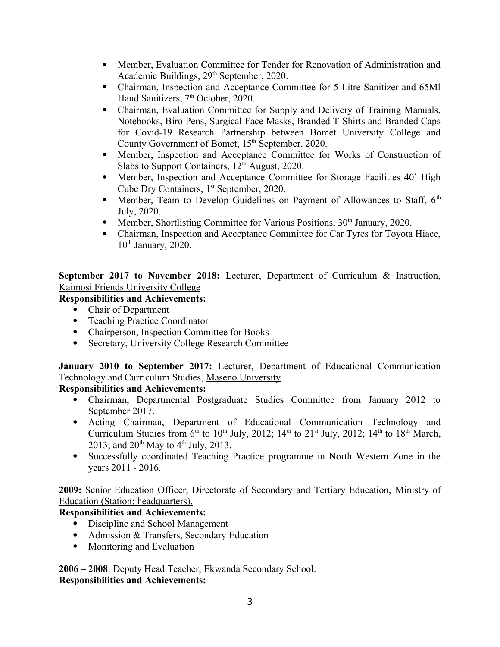- Member, Evaluation Committee for Tender for Renovation of Administration and Academic Buildings, 29<sup>th</sup> September, 2020.
- Chairman, Inspection and Acceptance Committee for 5 Litre Sanitizer and 65Ml Hand Sanitizers, 7<sup>th</sup> October, 2020.
- Chairman, Evaluation Committee for Supply and Delivery of Training Manuals, Notebooks, Biro Pens, Surgical Face Masks, Branded T-Shirts and Branded Caps for Covid-19 Research Partnership between Bomet University College and County Government of Bomet, 15<sup>th</sup> September, 2020.
- Member, Inspection and Acceptance Committee for Works of Construction of Slabs to Support Containers,  $12<sup>th</sup>$  August, 2020.
- Member, Inspection and Acceptance Committee for Storage Facilities 40' High Cube Dry Containers, 1<sup>st</sup> September, 2020.
- Member, Team to Develop Guidelines on Payment of Allowances to Staff,  $6<sup>th</sup>$ July, 2020.
- Member, Shortlisting Committee for Various Positions,  $30<sup>th</sup>$  January, 2020.
- Chairman, Inspection and Acceptance Committee for Car Tyres for Toyota Hiace,  $10<sup>th</sup>$  January, 2020.

**September 2017 to November 2018:** Lecturer, Department of Curriculum & Instruction, Kaimosi Friends University College

# **Responsibilities and Achievements:**

- Chair of Department
- Teaching Practice Coordinator
- Chairperson, Inspection Committee for Books
- Secretary, University College Research Committee

**January 2010 to September 2017:** Lecturer, Department of Educational Communication Technology and Curriculum Studies, Maseno University.

# **Responsibilities and Achievements:**

- Chairman, Departmental Postgraduate Studies Committee from January 2012 to September 2017.
- Acting Chairman, Department of Educational Communication Technology and Curriculum Studies from  $6<sup>th</sup>$  to  $10<sup>th</sup>$  July, 2012;  $14<sup>th</sup>$  to  $21<sup>st</sup>$  July, 2012;  $14<sup>th</sup>$  to  $18<sup>th</sup>$  March, 2013; and  $20^{th}$  May to  $4^{th}$  July, 2013.
- Successfully coordinated Teaching Practice programme in North Western Zone in the years 2011 - 2016.

**2009:** Senior Education Officer, Directorate of Secondary and Tertiary Education, Ministry of Education (Station: headquarters).

# **Responsibilities and Achievements:**

- Discipline and School Management
- Admission & Transfers, Secondary Education
- Monitoring and Evaluation

**2006 – 2008**: Deputy Head Teacher, Ekwanda Secondary School. **Responsibilities and Achievements:**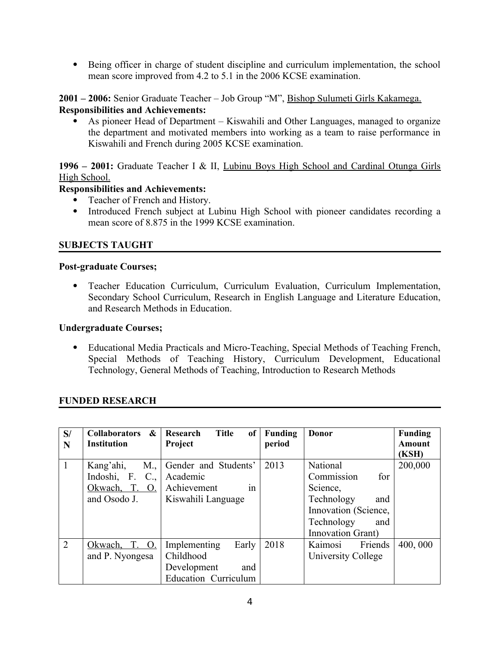Being officer in charge of student discipline and curriculum implementation, the school mean score improved from 4.2 to 5.1 in the 2006 KCSE examination.

**2001 – 2006:** Senior Graduate Teacher – Job Group "M", Bishop Sulumeti Girls Kakamega. **Responsibilities and Achievements:**

 As pioneer Head of Department – Kiswahili and Other Languages, managed to organize the department and motivated members into working as a team to raise performance in Kiswahili and French during 2005 KCSE examination.

# **1996 – 2001:** Graduate Teacher I & II, Lubinu Boys High School and Cardinal Otunga Girls High School.

## **Responsibilities and Achievements:**

- Teacher of French and History.
- Introduced French subject at Lubinu High School with pioneer candidates recording a mean score of 8.875 in the 1999 KCSE examination.

# **SUBJECTS TAUGHT**

### **Post-graduate Courses;**

 Teacher Education Curriculum, Curriculum Evaluation, Curriculum Implementation, Secondary School Curriculum, Research in English Language and Literature Education, and Research Methods in Education.

### **Undergraduate Courses;**

 Educational Media Practicals and Micro-Teaching, Special Methods of Teaching French, Special Methods of Teaching History, Curriculum Development, Educational Technology, General Methods of Teaching, Introduction to Research Methods

## **FUNDED RESEARCH**

| S/ | Collaborators &            | <b>Title</b><br>of<br>Research | Funding | <b>Donor</b>         | <b>Funding</b> |
|----|----------------------------|--------------------------------|---------|----------------------|----------------|
| N  | <b>Institution</b>         | Project                        | period  |                      | <b>Amount</b>  |
|    |                            |                                |         |                      | (KSH)          |
|    | Kang'ahi,<br>M.,           | Gender and Students'           | 2013    | National             | 200,000        |
|    | Indoshi, F.<br>$C_{\cdot}$ | Academic                       |         | Commission<br>for    |                |
|    | Okwach, T. O.              | Achievement<br>1n              |         | Science,             |                |
|    | and Osodo J.               | Kiswahili Language             |         | Technology<br>and    |                |
|    |                            |                                |         | Innovation (Science, |                |
|    |                            |                                |         | Technology<br>and    |                |
|    |                            |                                |         | Innovation Grant)    |                |
| 2  | T. O.<br>Okwach,           | Implementing<br>Early          | 2018    | Kaimosi<br>Friends   | 400,000        |
|    | and P. Nyongesa            | Childhood                      |         | University College   |                |
|    |                            | Development<br>and             |         |                      |                |
|    |                            | <b>Education Curriculum</b>    |         |                      |                |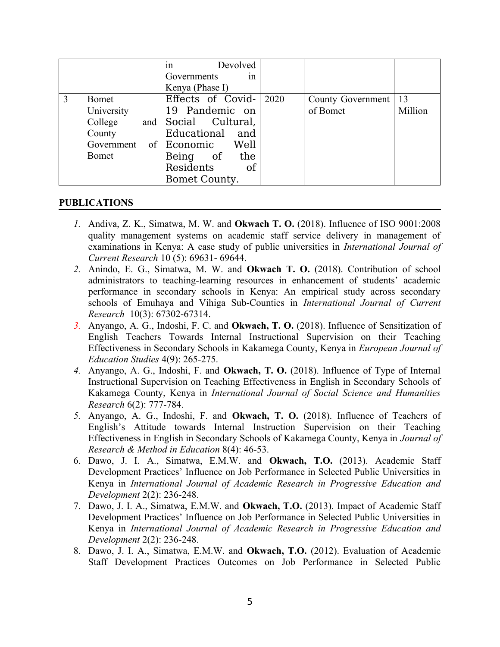|   |              | Devolved<br>1n              |                   |         |
|---|--------------|-----------------------------|-------------------|---------|
|   |              | Governments<br>1n           |                   |         |
|   |              | Kenya (Phase I)             |                   |         |
| 3 | Bomet        | Effects of Covid- $ 2020$   | County Government | 13      |
|   | University   | 19 Pandemic on              | of Bomet          | Million |
|   | College      | and Social Cultural,        |                   |         |
|   | County       | Educational and             |                   |         |
|   |              | Government of Economic Well |                   |         |
|   | <b>Bomet</b> | Being of the                |                   |         |
|   |              | Residents<br>- of           |                   |         |
|   |              | Bomet County.               |                   |         |

### **PUBLICATIONS**

- *1.* Andiva, Z. K., Simatwa, M. W. and **Okwach T. O.** (2018). Influence of ISO 9001:2008 quality management systems on academic staff service delivery in management of examinations in Kenya: A case study of public universities in *International Journal of Current Research* 10 (5): 69631- 69644.
- *2.* Anindo, E. G., Simatwa, M. W. and **Okwach T. O.** (2018). Contribution of school administrators to teaching-learning resources in enhancement of students' academic performance in secondary schools in Kenya: An empirical study across secondary schools of Emuhaya and Vihiga Sub-Counties in *International Journal of Current Research* 10(3): 67302-67314.
- *3.* Anyango, A. G., Indoshi, F. C. and **Okwach, T. O.** (2018). Influence of Sensitization of English Teachers Towards Internal Instructional Supervision on their Teaching Effectiveness in Secondary Schools in Kakamega County, Kenya in *European Journal of Education Studies* 4(9): 265-275.
- *4.* Anyango, A. G., Indoshi, F. and **Okwach, T. O.** (2018). Influence of Type of Internal Instructional Supervision on Teaching Effectiveness in English in Secondary Schools of Kakamega County, Kenya in *International Journal of Social Science and Humanities Research* 6(2): 777-784.
- *5.* Anyango, A. G., Indoshi, F. and **Okwach, T. O.** (2018). Influence of Teachers of English's Attitude towards Internal Instruction Supervision on their Teaching Effectiveness in English in Secondary Schools of Kakamega County, Kenya in *Journal of Research & Method in Education* 8(4): 46-53.
- 6. Dawo, J. I. A., Simatwa, E.M.W. and **Okwach, T.O.** (2013). Academic Staff Development Practices' Influence on Job Performance in Selected Public Universities in Kenya in *International Journal of Academic Research in Progressive Education and Development* 2(2): 236-248.
- 7. Dawo, J. I. A., Simatwa, E.M.W. and **Okwach, T.O.** (2013). Impact of Academic Staff Development Practices' Influence on Job Performance in Selected Public Universities in Kenya in *International Journal of Academic Research in Progressive Education and Development* 2(2): 236-248.
- 8. Dawo, J. I. A., Simatwa, E.M.W. and **Okwach, T.O.** (2012). Evaluation of Academic Staff Development Practices Outcomes on Job Performance in Selected Public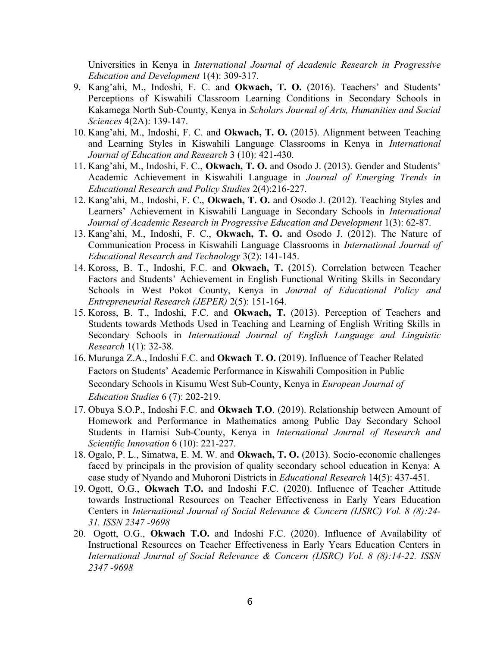Universities in Kenya in *International Journal of Academic Research in Progressive Education and Development* 1(4): 309-317.

- 9. Kang'ahi, M., Indoshi, F. C. and **Okwach, T. O.** (2016). Teachers' and Students' Perceptions of Kiswahili Classroom Learning Conditions in Secondary Schools in Kakamega North Sub-County, Kenya in *Scholars Journal of Arts, Humanities and Social Sciences* 4(2A): 139-147.
- 10. Kang'ahi, M., Indoshi, F. C. and **Okwach, T. O.** (2015). Alignment between Teaching and Learning Styles in Kiswahili Language Classrooms in Kenya in *International Journal of Education and Research* 3 (10): 421-430.
- 11. Kang'ahi, M., Indoshi, F. C., **Okwach, T. O.** and Osodo J. (2013). Gender and Students' Academic Achievement in Kiswahili Language in *Journal of Emerging Trends in Educational Research and Policy Studies* 2(4):216-227.
- 12. Kang'ahi, M., Indoshi, F. C., **Okwach, T. O.** and Osodo J. (2012). Teaching Styles and Learners' Achievement in Kiswahili Language in Secondary Schools in *International Journal of Academic Research in Progressive Education and Development* 1(3): 62-87.
- 13. Kang'ahi, M., Indoshi, F. C., **Okwach, T. O.** and Osodo J. (2012). The Nature of Communication Process in Kiswahili Language Classrooms in *International Journal of Educational Research and Technology* 3(2): 141-145.
- 14. Koross, B. T., Indoshi, F.C. and **Okwach, T.** (2015). Correlation between Teacher Factors and Students' Achievement in English Functional Writing Skills in Secondary Schools in West Pokot County, Kenya in *Journal of Educational Policy and Entrepreneurial Research (JEPER)* 2(5): 151-164.
- 15. Koross, B. T., Indoshi, F.C. and **Okwach, T.** (2013). Perception of Teachers and Students towards Methods Used in Teaching and Learning of English Writing Skills in Secondary Schools in *International Journal of English Language and Linguistic Research* 1(1): 32-38.
- 16. Murunga Z.A., Indoshi F.C. and **Okwach T. O.** (2019). Influence of Teacher Related Factors on Students' Academic Performance in Kiswahili Composition in Public Secondary Schools in Kisumu West Sub-County, Kenya in *European Journal of Education Studies* 6 (7): 202-219.
- 17. Obuya S.O.P., Indoshi F.C. and **Okwach T.O**. (2019). Relationship between Amount of Homework and Performance in Mathematics among Public Day Secondary School Students in Hamisi Sub-County, Kenya in *International Journal of Research and Scientific Innovation* 6 (10): 221-227.
- 18. Ogalo, P. L., Simatwa, E. M. W. and **Okwach, T. O.** (2013). Socio-economic challenges faced by principals in the provision of quality secondary school education in Kenya: A case study of Nyando and Muhoroni Districts in *Educational Research* 14(5): 437-451.
- 19. Ogott, O.G., **Okwach T.O.** and Indoshi F.C. (2020). Influence of Teacher Attitude towards Instructional Resources on Teacher Effectiveness in Early Years Education Centers in *International Journal of Social Relevance & Concern (IJSRC) Vol. 8 (8):24- 31. ISSN 2347 -9698*
- 20. Ogott, O.G., **Okwach T.O.** and Indoshi F.C. (2020). Influence of Availability of Instructional Resources on Teacher Effectiveness in Early Years Education Centers in *International Journal of Social Relevance & Concern (IJSRC) Vol. 8 (8):14-22. ISSN 2347 -9698*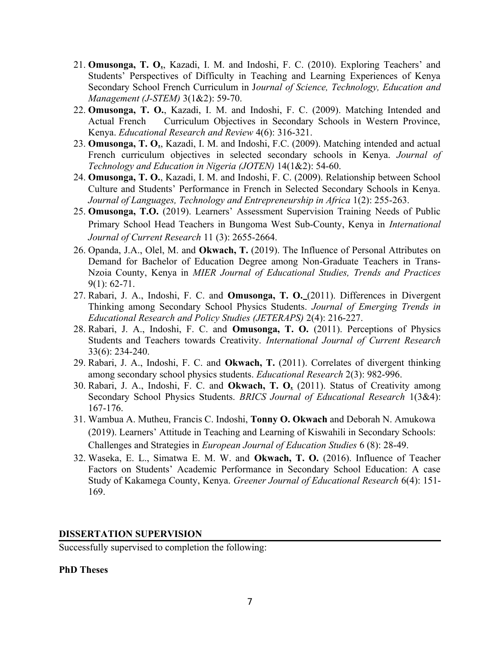- 21. **Omusonga, T. O.**, Kazadi, I. M. and Indoshi, F. C. (2010). Exploring Teachers' and Students' Perspectives of Difficulty in Teaching and Learning Experiences of Kenya Secondary School French Curriculum in J*ournal of Science, Technology, Education and Management (J-STEM)* 3(1&2): 59-70.
- 22. **Omusonga, T. O.**, Kazadi, I. M. and Indoshi, F. C. (2009). Matching Intended and Actual French Curriculum Objectives in Secondary Schools in Western Province, Kenya. *Educational Research and Review* 4(6): 316-321.
- 23. **Omusonga, T. O.**, Kazadi, I. M. and Indoshi, F.C. (2009). Matching intended and actual French curriculum objectives in selected secondary schools in Kenya. *Journal of Technology and Education in Nigeria (JOTEN)* 14(1&2): 54-60.
- 24. **Omusonga, T. O.**, Kazadi, I. M. and Indoshi, F. C. (2009). Relationship between School Culture and Students' Performance in French in Selected Secondary Schools in Kenya. *Journal of Languages, Technology and Entrepreneurship in Africa* 1(2): 255-263.
- 25. **Omusonga, T.O.** (2019). Learners' Assessment Supervision Training Needs of Public Primary School Head Teachers in Bungoma West Sub-County, Kenya in *International Journal of Current Research* 11 (3): 2655-2664.
- 26. Opanda, J.A., Olel, M. and **Okwach, T.** (2019). The Influence of Personal Attributes on Demand for Bachelor of Education Degree among Non-Graduate Teachers in Trans-Nzoia County, Kenya in *MIER Journal of Educational Studies, Trends and Practices*  $9(1): 62 - 71.$
- 27. Rabari, J. A., Indoshi, F. C. and **Omusonga, T. O.** (2011). Differences in Divergent Thinking among Secondary School Physics Students. *Journal of Emerging Trends in Educational Research and Policy Studies (JETERAPS)* 2(4): 216-227.
- 28. Rabari, J. A., Indoshi, F. C. and **Omusonga, T. O.** (2011). Perceptions of Physics Students and Teachers towards Creativity. *International Journal of Current Research* 33(6): 234-240.
- 29. Rabari, J. A., Indoshi, F. C. and **Okwach, T.** (2011). Correlates of divergent thinking among secondary school physics students. *Educational Research* 2(3): 982-996.
- 30. Rabari, J. A., Indoshi, F. C. and **Okwach, T. O.** (2011). Status of Creativity among Secondary School Physics Students. *BRICS Journal of Educational Research* 1(3&4): 167-176.
- 31. Wambua A. Mutheu, Francis C. Indoshi, **Tonny O. Okwach** and Deborah N. Amukowa (2019). Learners' Attitude in Teaching and Learning of Kiswahili in Secondary Schools: Challenges and Strategies in *European Journal of Education Studies* 6 (8): 28-49.
- 32. Waseka, E. L., Simatwa E. M. W. and **Okwach, T. O.** (2016). Influence of Teacher Factors on Students' Academic Performance in Secondary School Education: A case Study of Kakamega County, Kenya. *Greener Journal of Educational Research* 6(4): 151- 169.

## **DISSERTATION SUPERVISION**

Successfully supervised to completion the following:

#### **PhD Theses**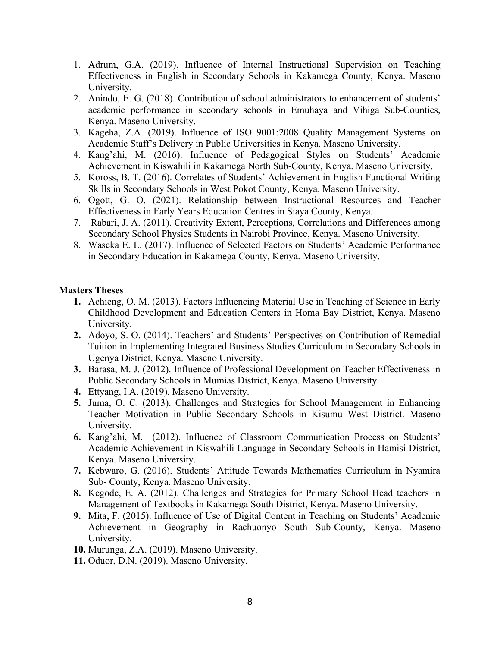- 1. Adrum, G.A. (2019). Influence of Internal Instructional Supervision on Teaching Effectiveness in English in Secondary Schools in Kakamega County, Kenya. Maseno University.
- 2. Anindo, E. G. (2018). Contribution of school administrators to enhancement of students' academic performance in secondary schools in Emuhaya and Vihiga Sub-Counties, Kenya. Maseno University.
- 3. Kageha, Z.A. (2019). Influence of ISO 9001:2008 Quality Management Systems on Academic Staff's Delivery in Public Universities in Kenya. Maseno University.
- 4. Kang'ahi, M. (2016). Influence of Pedagogical Styles on Students' Academic Achievement in Kiswahili in Kakamega North Sub-County, Kenya. Maseno University.
- 5. Koross, B. T. (2016). Correlates of Students' Achievement in English Functional Writing Skills in Secondary Schools in West Pokot County, Kenya. Maseno University.
- 6. Ogott, G. O. (2021). Relationship between Instructional Resources and Teacher Effectiveness in Early Years Education Centres in Siaya County, Kenya.
- 7. Rabari, J. A. (2011). Creativity Extent, Perceptions, Correlations and Differences among Secondary School Physics Students in Nairobi Province, Kenya. Maseno University.
- 8. Waseka E. L. (2017). Influence of Selected Factors on Students' Academic Performance in Secondary Education in Kakamega County, Kenya. Maseno University.

## **Masters Theses**

- **1.** Achieng, O. M. (2013). Factors Influencing Material Use in Teaching of Science in Early Childhood Development and Education Centers in Homa Bay District, Kenya. Maseno University.
- **2.** Adoyo, S. O. (2014). Teachers' and Students' Perspectives on Contribution of Remedial Tuition in Implementing Integrated Business Studies Curriculum in Secondary Schools in Ugenya District, Kenya. Maseno University.
- **3.** Barasa, M. J. (2012). Influence of Professional Development on Teacher Effectiveness in Public Secondary Schools in Mumias District, Kenya. Maseno University.
- **4.** Ettyang, I.A. (2019). Maseno University.
- **5.** Juma, O. C. (2013). Challenges and Strategies for School Management in Enhancing Teacher Motivation in Public Secondary Schools in Kisumu West District. Maseno University.
- **6.** Kang'ahi, M. (2012). Influence of Classroom Communication Process on Students' Academic Achievement in Kiswahili Language in Secondary Schools in Hamisi District, Kenya. Maseno University.
- **7.** Kebwaro, G. (2016). Students' Attitude Towards Mathematics Curriculum in Nyamira Sub- County, Kenya. Maseno University.
- **8.** Kegode, E. A. (2012). Challenges and Strategies for Primary School Head teachers in Management of Textbooks in Kakamega South District, Kenya. Maseno University.
- **9.** Mita, F. (2015). Influence of Use of Digital Content in Teaching on Students' Academic Achievement in Geography in Rachuonyo South Sub-County, Kenya. Maseno University.
- **10.** Murunga, Z.A. (2019). Maseno University.
- **11.** Oduor, D.N. (2019). Maseno University.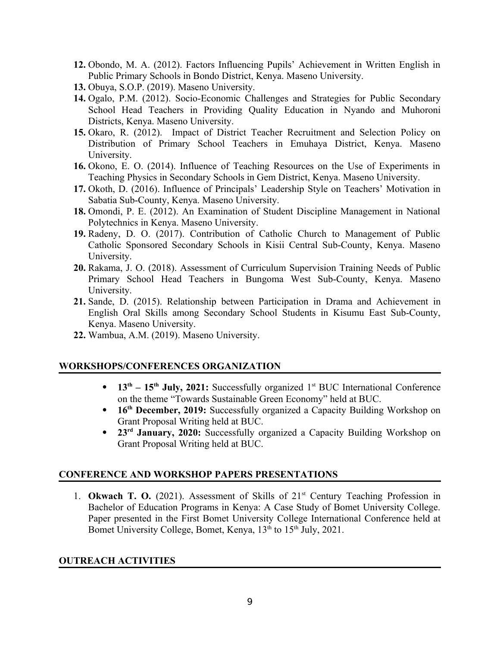- **12.** Obondo, M. A. (2012). Factors Influencing Pupils' Achievement in Written English in Public Primary Schools in Bondo District, Kenya. Maseno University.
- **13.** Obuya, S.O.P. (2019). Maseno University.
- **14.** Ogalo, P.M. (2012). Socio-Economic Challenges and Strategies for Public Secondary School Head Teachers in Providing Quality Education in Nyando and Muhoroni Districts, Kenya. Maseno University.
- **15.** Okaro, R. (2012). Impact of District Teacher Recruitment and Selection Policy on Distribution of Primary School Teachers in Emuhaya District, Kenya. Maseno University.
- **16.** Okono, E. O. (2014). Influence of Teaching Resources on the Use of Experiments in Teaching Physics in Secondary Schools in Gem District, Kenya. Maseno University.
- **17.** Okoth, D. (2016). Influence of Principals' Leadership Style on Teachers' Motivation in Sabatia Sub-County, Kenya. Maseno University.
- **18.** Omondi, P. E. (2012). An Examination of Student Discipline Management in National Polytechnics in Kenya. Maseno University.
- **19.** Radeny, D. O. (2017). Contribution of Catholic Church to Management of Public Catholic Sponsored Secondary Schools in Kisii Central Sub-County, Kenya. Maseno University.
- **20.** Rakama, J. O. (2018). Assessment of Curriculum Supervision Training Needs of Public Primary School Head Teachers in Bungoma West Sub-County, Kenya. Maseno University.
- **21.** Sande, D. (2015). Relationship between Participation in Drama and Achievement in English Oral Skills among Secondary School Students in Kisumu East Sub-County, Kenya. Maseno University.
- **22.** Wambua, A.M. (2019). Maseno University.

## **WORKSHOPS/CONFERENCES ORGANIZATION**

- 13<sup>th</sup> 15<sup>th</sup> July, 2021: Successfully organized 1<sup>st</sup> BUC International Conference on the theme "Towards Sustainable Green Economy" held at BUC.
- **16th December, 2019:** Successfully organized a Capacity Building Workshop on Grant Proposal Writing held at BUC.
- **23rd January, 2020:** Successfully organized a Capacity Building Workshop on Grant Proposal Writing held at BUC.

## **CONFERENCE AND WORKSHOP PAPERS PRESENTATIONS**

1. **Okwach T. O.** (2021). Assessment of Skills of 21<sup>st</sup> Century Teaching Profession in Bachelor of Education Programs in Kenya: A Case Study of Bomet University College. Paper presented in the First Bomet University College International Conference held at Bomet University College, Bomet, Kenya,  $13<sup>th</sup>$  to  $15<sup>th</sup>$  July, 2021.

## **OUTREACH ACTIVITIES**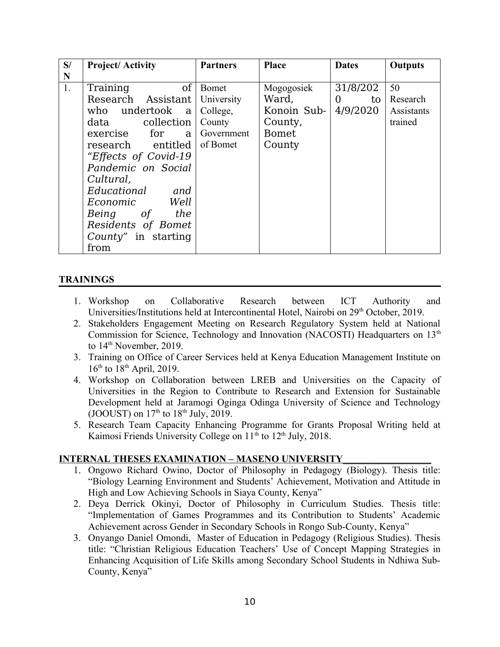| S/ | <b>Project/Activity</b>   | <b>Partners</b> | <b>Place</b> | <b>Dates</b>         | <b>Outputs</b> |
|----|---------------------------|-----------------|--------------|----------------------|----------------|
| N  |                           |                 |              |                      |                |
| 1. | <sub>of</sub><br>Training | Bomet           | Mogogosiek   | 31/8/202             | 50             |
|    | Research Assistant        | University      | Ward,        | $\overline{0}$<br>to | Research       |
|    | who undertook a           | College,        | Konoin Sub-  | 4/9/2020             | Assistants     |
|    | data collection           | County          | County,      |                      | trained        |
|    | exercise for<br>a l       | Government      | <b>Bomet</b> |                      |                |
|    | research entitled         | of Bomet        | County       |                      |                |
|    | "Effects of Covid-19      |                 |              |                      |                |
|    | Pandemic on Social        |                 |              |                      |                |
|    | Cultural,                 |                 |              |                      |                |
|    | Educational<br>and        |                 |              |                      |                |
|    | Economic Well             |                 |              |                      |                |
|    | Being of the              |                 |              |                      |                |
|    | Residents of Bomet        |                 |              |                      |                |
|    | County" in starting       |                 |              |                      |                |
|    | from                      |                 |              |                      |                |

## **TRAININGS**

- 1. Workshop on Collaborative Research between ICT Authority and Universities/Institutions held at Intercontinental Hotel, Nairobi on 29<sup>th</sup> October, 2019.
- 2. Stakeholders Engagement Meeting on Research Regulatory System held at National Commission for Science, Technology and Innovation (NACOSTI) Headquarters on  $13<sup>th</sup>$ to  $14<sup>th</sup>$  November, 2019.
- 3. Training on Office of Career Services held at Kenya Education Management Institute on  $16^{th}$  to  $18^{th}$  April, 2019.
- 4. Workshop on Collaboration between LREB and Universities on the Capacity of Universities in the Region to Contribute to Research and Extension for Sustainable Development held at Jaramogi Oginga Odinga University of Science and Technology (JOOUST) on  $17<sup>th</sup>$  to  $18<sup>th</sup>$  July, 2019.
- 5. Research Team Capacity Enhancing Programme for Grants Proposal Writing held at Kaimosi Friends University College on  $11<sup>th</sup>$  to  $12<sup>th</sup>$  July, 2018.

## **INTERNAL THESES EXAMINATION – MASENO UNIVERSITY\_\_\_\_\_\_\_\_\_\_\_\_\_\_\_\_\_\_**

- 1. Ongowo Richard Owino, Doctor of Philosophy in Pedagogy (Biology). Thesis title: "Biology Learning Environment and Students' Achievement, Motivation and Attitude in High and Low Achieving Schools in Siaya County, Kenya"
- 2. Deya Derrick Okinyi, Doctor of Philosophy in Curriculum Studies. Thesis title: "Implementation of Games Programmes and its Contribution to Students' Academic Achievement across Gender in Secondary Schools in Rongo Sub-County, Kenya"
- 3. Onyango Daniel Omondi, Master of Education in Pedagogy (Religious Studies). Thesis title: "Christian Religious Education Teachers' Use of Concept Mapping Strategies in Enhancing Acquisition of Life Skills among Secondary School Students in Ndhiwa Sub-County, Kenya"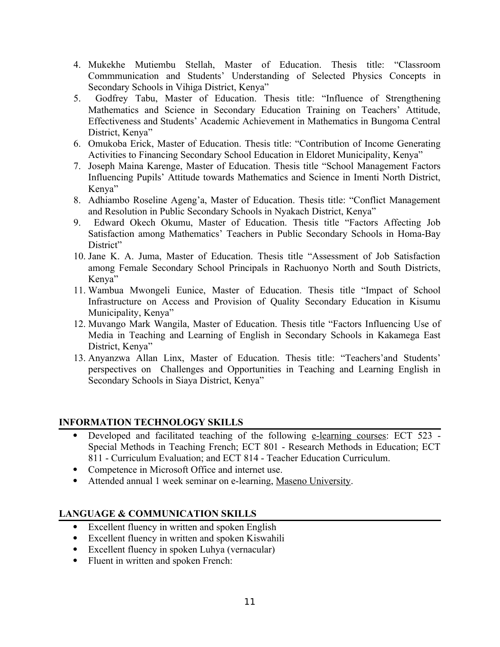- 4. Mukekhe Mutiembu Stellah, Master of Education. Thesis title: "Classroom Commmunication and Students' Understanding of Selected Physics Concepts in Secondary Schools in Vihiga District, Kenya"
- 5. Godfrey Tabu, Master of Education. Thesis title: "Influence of Strengthening Mathematics and Science in Secondary Education Training on Teachers' Attitude, Effectiveness and Students' Academic Achievement in Mathematics in Bungoma Central District, Kenya"
- 6. Omukoba Erick, Master of Education. Thesis title: "Contribution of Income Generating Activities to Financing Secondary School Education in Eldoret Municipality, Kenya"
- 7. Joseph Maina Karenge, Master of Education. Thesis title "School Management Factors Influencing Pupils' Attitude towards Mathematics and Science in Imenti North District, Kenya"
- 8. Adhiambo Roseline Ageng'a, Master of Education. Thesis title: "Conflict Management and Resolution in Public Secondary Schools in Nyakach District, Kenya"
- 9. Edward Okech Okumu, Master of Education. Thesis title "Factors Affecting Job Satisfaction among Mathematics' Teachers in Public Secondary Schools in Homa-Bay District"
- 10. Jane K. A. Juma, Master of Education. Thesis title "Assessment of Job Satisfaction among Female Secondary School Principals in Rachuonyo North and South Districts, Kenya"
- 11. Wambua Mwongeli Eunice, Master of Education. Thesis title "Impact of School Infrastructure on Access and Provision of Quality Secondary Education in Kisumu Municipality, Kenya"
- 12. Muvango Mark Wangila, Master of Education. Thesis title "Factors Influencing Use of Media in Teaching and Learning of English in Secondary Schools in Kakamega East District, Kenya"
- 13. Anyanzwa Allan Linx, Master of Education. Thesis title: "Teachers'and Students' perspectives on Challenges and Opportunities in Teaching and Learning English in Secondary Schools in Siaya District, Kenya"

## **INFORMATION TECHNOLOGY SKILLS**

- Developed and facilitated teaching of the following e-learning courses: ECT 523 -Special Methods in Teaching French; ECT 801 - Research Methods in Education; ECT 811 - Curriculum Evaluation; and ECT 814 - Teacher Education Curriculum.
- Competence in Microsoft Office and internet use.
- Attended annual 1 week seminar on e-learning, Maseno University.

# **LANGUAGE & COMMUNICATION SKILLS**

- Excellent fluency in written and spoken English
- Excellent fluency in written and spoken Kiswahili
- Excellent fluency in spoken Luhya (vernacular)
- Fluent in written and spoken French: